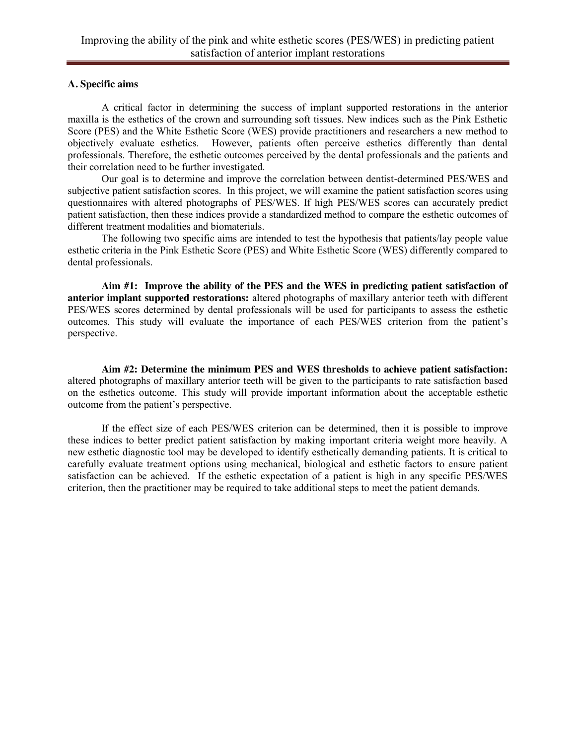### **A. Specific aims**

A critical factor in determining the success of implant supported restorations in the anterior maxilla is the esthetics of the crown and surrounding soft tissues. New indices such as the Pink Esthetic Score (PES) and the White Esthetic Score (WES) provide practitioners and researchers a new method to objectively evaluate esthetics. However, patients often perceive esthetics differently than dental professionals. Therefore, the esthetic outcomes perceived by the dental professionals and the patients and their correlation need to be further investigated.

Our goal is to determine and improve the correlation between dentist-determined PES/WES and subjective patient satisfaction scores. In this project, we will examine the patient satisfaction scores using questionnaires with altered photographs of PES/WES. If high PES/WES scores can accurately predict patient satisfaction, then these indices provide a standardized method to compare the esthetic outcomes of different treatment modalities and biomaterials.

The following two specific aims are intended to test the hypothesis that patients/lay people value esthetic criteria in the Pink Esthetic Score (PES) and White Esthetic Score (WES) differently compared to dental professionals.

**Aim #1: Improve the ability of the PES and the WES in predicting patient satisfaction of anterior implant supported restorations:** altered photographs of maxillary anterior teeth with different PES/WES scores determined by dental professionals will be used for participants to assess the esthetic outcomes. This study will evaluate the importance of each PES/WES criterion from the patient's perspective.

**Aim #2: Determine the minimum PES and WES thresholds to achieve patient satisfaction:** altered photographs of maxillary anterior teeth will be given to the participants to rate satisfaction based on the esthetics outcome. This study will provide important information about the acceptable esthetic outcome from the patient's perspective.

If the effect size of each PES/WES criterion can be determined, then it is possible to improve these indices to better predict patient satisfaction by making important criteria weight more heavily. A new esthetic diagnostic tool may be developed to identify esthetically demanding patients. It is critical to carefully evaluate treatment options using mechanical, biological and esthetic factors to ensure patient satisfaction can be achieved. If the esthetic expectation of a patient is high in any specific PES/WES criterion, then the practitioner may be required to take additional steps to meet the patient demands.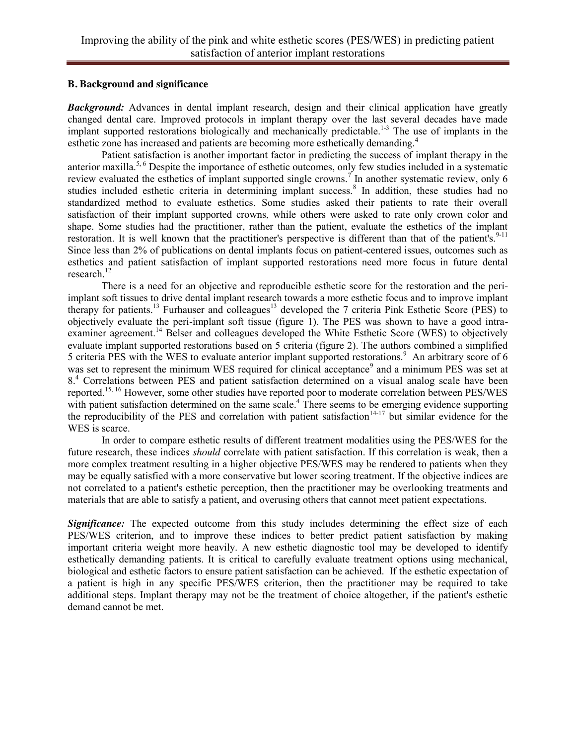#### **B. Background and significance**

**Background:** Advances in dental implant research, design and their clinical application have greatly changed dental care. Improved protocols in implant therapy over the last several decades have made implant supported restorations biologically and mechanically predictable.<sup>1-3</sup> The use of implants in the esthetic zone has increased and patients are becoming more esthetically demanding.<sup>4</sup>

Patient satisfaction is another important factor in predicting the success of implant therapy in the anterior maxilla.5, 6 Despite the importance of esthetic outcomes, only few studies included in a systematic review evaluated the esthetics of implant supported single crowns.<sup>7</sup> In another systematic review, only 6 studies included esthetic criteria in determining implant success.<sup>8</sup> In addition, these studies had no standardized method to evaluate esthetics. Some studies asked their patients to rate their overall satisfaction of their implant supported crowns, while others were asked to rate only crown color and shape. Some studies had the practitioner, rather than the patient, evaluate the esthetics of the implant restoration. It is well known that the practitioner's perspective is different than that of the patient's.<sup>9-11</sup> Since less than 2% of publications on dental implants focus on patient-centered issues, outcomes such as esthetics and patient satisfaction of implant supported restorations need more focus in future dental research. 12

There is a need for an objective and reproducible esthetic score for the restoration and the periimplant soft tissues to drive dental implant research towards a more esthetic focus and to improve implant therapy for patients.<sup>13</sup> Furhauser and colleagues<sup>13</sup> developed the 7 criteria Pink Esthetic Score (PES) to objectively evaluate the peri-implant soft tissue (figure 1). The PES was shown to have a good intraexaminer agreement.<sup>14</sup> Belser and colleagues developed the White Esthetic Score (WES) to objectively evaluate implant supported restorations based on 5 criteria (figure 2). The authors combined a simplified 5 criteria PES with the WES to evaluate anterior implant supported restorations.<sup>9</sup> An arbitrary score of 6 was set to represent the minimum WES required for clinical acceptance<sup>9</sup> and a minimum PES was set at 8<sup>.4</sup> Correlations between PES and patient satisfaction determined on a visual analog scale have been reported. 15, 16 However, some other studies have reported poor to moderate correlation between PES/WES with patient satisfaction determined on the same scale.<sup>4</sup> There seems to be emerging evidence supporting the reproducibility of the PES and correlation with patient satisfaction $14-17$  but similar evidence for the WES is scarce.

In order to compare esthetic results of different treatment modalities using the PES/WES for the future research, these indices *should* correlate with patient satisfaction. If this correlation is weak, then a more complex treatment resulting in a higher objective PES/WES may be rendered to patients when they may be equally satisfied with a more conservative but lower scoring treatment. If the objective indices are not correlated to a patient's esthetic perception, then the practitioner may be overlooking treatments and materials that are able to satisfy a patient, and overusing others that cannot meet patient expectations.

**Significance:** The expected outcome from this study includes determining the effect size of each PES/WES criterion, and to improve these indices to better predict patient satisfaction by making important criteria weight more heavily. A new esthetic diagnostic tool may be developed to identify esthetically demanding patients. It is critical to carefully evaluate treatment options using mechanical, biological and esthetic factors to ensure patient satisfaction can be achieved. If the esthetic expectation of a patient is high in any specific PES/WES criterion, then the practitioner may be required to take additional steps. Implant therapy may not be the treatment of choice altogether, if the patient's esthetic demand cannot be met.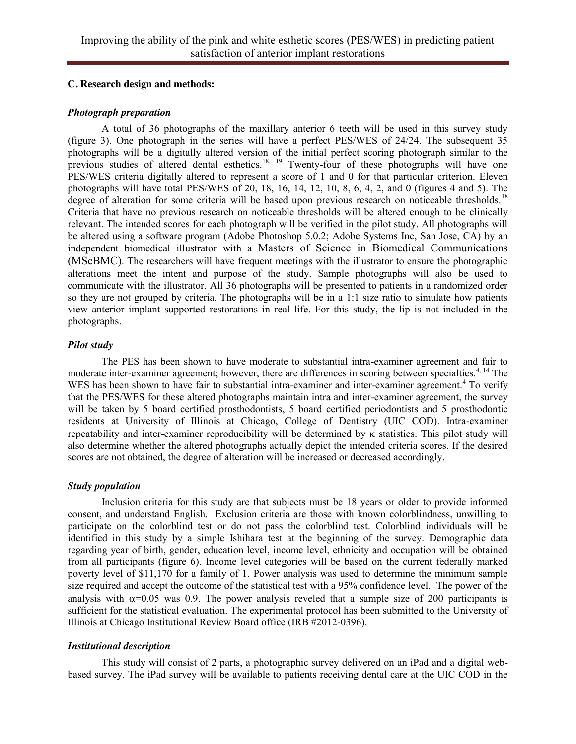#### **C. Research design and methods:**

#### *Photograph preparation*

A total of 36 photographs of the maxillary anterior 6 teeth will be used in this survey study (figure 3). One photograph in the series will have a perfect PES/WES of 24/24. The subsequent 35 photographs will be a digitally altered version of the initial perfect scoring photograph similar to the previous studies of altered dental esthetics.<sup>18, 19</sup> Twenty-four of these photographs will have one PES/WES criteria digitally altered to represent a score of 1 and 0 for that particular criterion. Eleven photographs will have total PES/WES of 20, 18, 16, 14, 12, 10, 8, 6, 4, 2, and 0 (figures 4 and 5). The degree of alteration for some criteria will be based upon previous research on noticeable thresholds.<sup>18</sup> Criteria that have no previous research on noticeable thresholds will be altered enough to be clinically relevant. The intended scores for each photograph will be verified in the pilot study. All photographs will be altered using a software program (Adobe Photoshop 5.0.2; Adobe Systems Inc, San Jose, CA) by an independent biomedical illustrator with a Masters of Science in Biomedical Communications (MScBMC). The researchers will have frequent meetings with the illustrator to ensure the photographic alterations meet the intent and purpose of the study. Sample photographs will also be used to communicate with the illustrator. All 36 photographs will be presented to patients in a randomized order so they are not grouped by criteria. The photographs will be in a 1:1 size ratio to simulate how patients view anterior implant supported restorations in real life. For this study, the lip is not included in the photographs.

#### *Pilot study*

The PES has been shown to have moderate to substantial intra-examiner agreement and fair to moderate inter-examiner agreement; however, there are differences in scoring between specialties.<sup>4, 14</sup> The WES has been shown to have fair to substantial intra-examiner and inter-examiner agreement.<sup>4</sup> To verify that the PES/WES for these altered photographs maintain intra and inter-examiner agreement, the survey will be taken by 5 board certified prosthodontists, 5 board certified periodontists and 5 prosthodontic residents at University of Illinois at Chicago, College of Dentistry (UIC COD). Intra-examiner repeatability and inter-examiner reproducibility will be determined by  $\kappa$  statistics. This pilot study will also determine whether the altered photographs actually depict the intended criteria scores. If the desired scores are not obtained, the degree of alteration will be increased or decreased accordingly.

### *Study population*

Inclusion criteria for this study are that subjects must be 18 years or older to provide informed consent, and understand English. Exclusion criteria are those with known colorblindness, unwilling to participate on the colorblind test or do not pass the colorblind test. Colorblind individuals will be identified in this study by a simple Ishihara test at the beginning of the survey. Demographic data regarding year of birth, gender, education level, income level, ethnicity and occupation will be obtained from all participants (figure 6). Income level categories will be based on the current federally marked poverty level of \$11,170 for a family of 1. Power analysis was used to determine the minimum sample size required and accept the outcome of the statistical test with a 95% confidence level. The power of the analysis with  $\alpha$ =0.05 was 0.9. The power analysis reveled that a sample size of 200 participants is sufficient for the statistical evaluation. The experimental protocol has been submitted to the University of Illinois at Chicago Institutional Review Board office (IRB #2012-0396).

#### *Institutional description*

This study will consist of 2 parts, a photographic survey delivered on an iPad and a digital webbased survey. The iPad survey will be available to patients receiving dental care at the UIC COD in the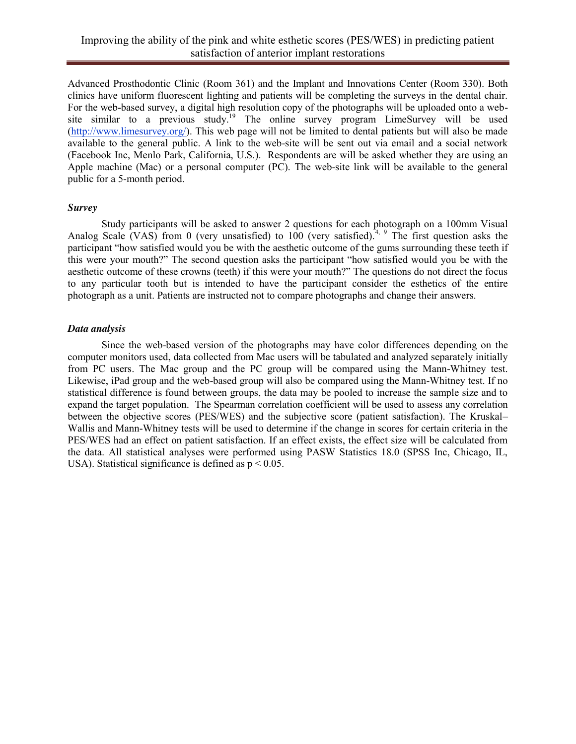Advanced Prosthodontic Clinic (Room 361) and the Implant and Innovations Center (Room 330). Both clinics have uniform fluorescent lighting and patients will be completing the surveys in the dental chair. For the web-based survey, a digital high resolution copy of the photographs will be uploaded onto a website similar to a previous study.<sup>19</sup> The online survey program LimeSurvey will be used [\(http://www.limesurvey.org/\)](http://www.limesurvey.org/). This web page will not be limited to dental patients but will also be made available to the general public. A link to the web-site will be sent out via email and a social network (Facebook Inc, [Menlo Park,](http://en.wikipedia.org/wiki/Menlo_Park,_California) California, U.S.). Respondents are will be asked whether they are using an Apple machine (Mac) or a personal computer (PC). The web-site link will be available to the general public for a 5-month period.

#### *Survey*

Study participants will be asked to answer 2 questions for each photograph on a 100mm Visual Analog Scale (VAS) from 0 (very unsatisfied) to  $100$  (very satisfied).<sup>4, 9</sup> The first question asks the participant "how satisfied would you be with the aesthetic outcome of the gums surrounding these teeth if this were your mouth?" The second question asks the participant "how satisfied would you be with the aesthetic outcome of these crowns (teeth) if this were your mouth?" The questions do not direct the focus to any particular tooth but is intended to have the participant consider the esthetics of the entire photograph as a unit. Patients are instructed not to compare photographs and change their answers.

#### *Data analysis*

Since the web-based version of the photographs may have color differences depending on the computer monitors used, data collected from Mac users will be tabulated and analyzed separately initially from PC users. The Mac group and the PC group will be compared using the Mann-Whitney test. Likewise, iPad group and the web-based group will also be compared using the Mann-Whitney test. If no statistical difference is found between groups, the data may be pooled to increase the sample size and to expand the target population. The Spearman correlation coefficient will be used to assess any correlation between the objective scores (PES/WES) and the subjective score (patient satisfaction). The Kruskal– Wallis and Mann-Whitney tests will be used to determine if the change in scores for certain criteria in the PES/WES had an effect on patient satisfaction. If an effect exists, the effect size will be calculated from the data. All statistical analyses were performed using PASW Statistics 18.0 (SPSS Inc, Chicago, IL, USA). Statistical significance is defined as  $p < 0.05$ .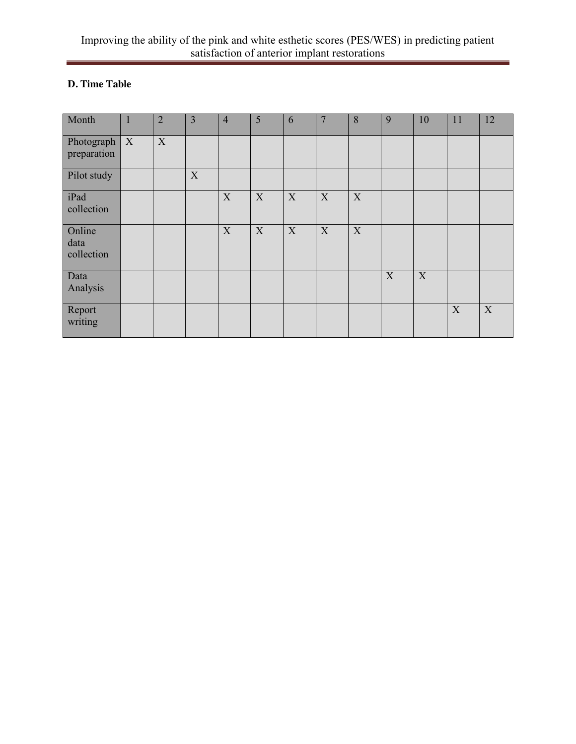# **D. Time Table**

| Month                                   | $\overline{2}$ | $\overline{3}$ | $\overline{4}$ | 5 | 6 | $\overline{7}$ | 8 | 9 | 10          | 11          | 12          |
|-----------------------------------------|----------------|----------------|----------------|---|---|----------------|---|---|-------------|-------------|-------------|
| Photograph $\mid X \mid$<br>preparation | X              |                |                |   |   |                |   |   |             |             |             |
| Pilot study                             |                | X              |                |   |   |                |   |   |             |             |             |
| iPad<br>collection                      |                |                | X              | X | X | X              | X |   |             |             |             |
| Online<br>data<br>collection            |                |                | X              | X | X | X              | X |   |             |             |             |
| Data<br>Analysis                        |                |                |                |   |   |                |   | X | $\mathbf X$ |             |             |
| Report<br>writing                       |                |                |                |   |   |                |   |   |             | $\mathbf X$ | $\mathbf X$ |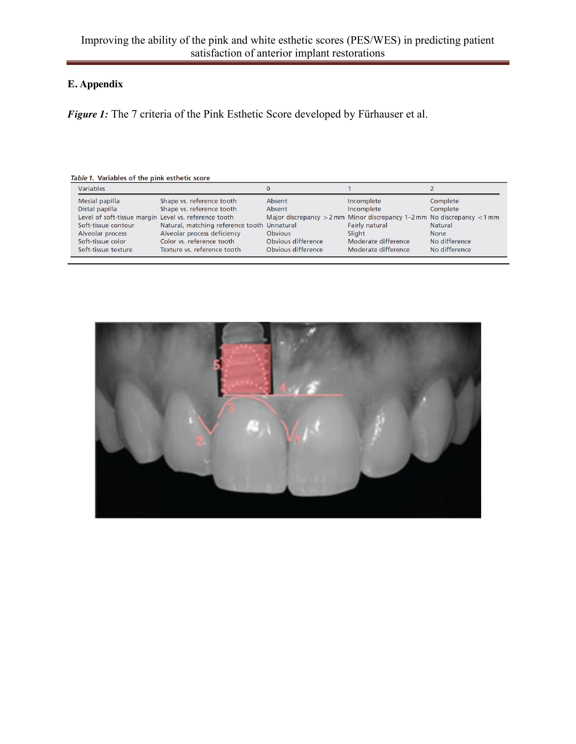## **E. Appendix**

*Figure 1:* The 7 criteria of the Pink Esthetic Score developed by Fürhauser et al.

| Variables                                             |                                             |                    |                                                                            |               |
|-------------------------------------------------------|---------------------------------------------|--------------------|----------------------------------------------------------------------------|---------------|
| Mesial papilla                                        | Shape vs. reference tooth                   | Absent             | Incomplete                                                                 | Complete      |
| Distal papilla                                        | Shape vs. reference tooth                   | Absent             | Incomplete                                                                 | Complete      |
| Level of soft-tissue margin Level vs. reference tooth |                                             |                    | Major discrepancy $>2$ mm Minor discrepancy 1–2 mm No discrepancy $<$ 1 mm |               |
| Soft-tissue contour                                   | Natural, matching reference tooth Unnatural |                    | Fairly natural                                                             | Natural       |
| Alveolar process                                      | Alveolar process deficiency                 | <b>Obvious</b>     | Slight                                                                     | <b>None</b>   |
| Soft-tissue color                                     | Color vs. reference tooth                   | Obvious difference | Moderate difference                                                        | No difference |
| Soft-tissue texture                                   | Texture vs. reference tooth                 | Obvious difference | Moderate difference                                                        | No difference |

Table 1. Variables of the pink esthetic score

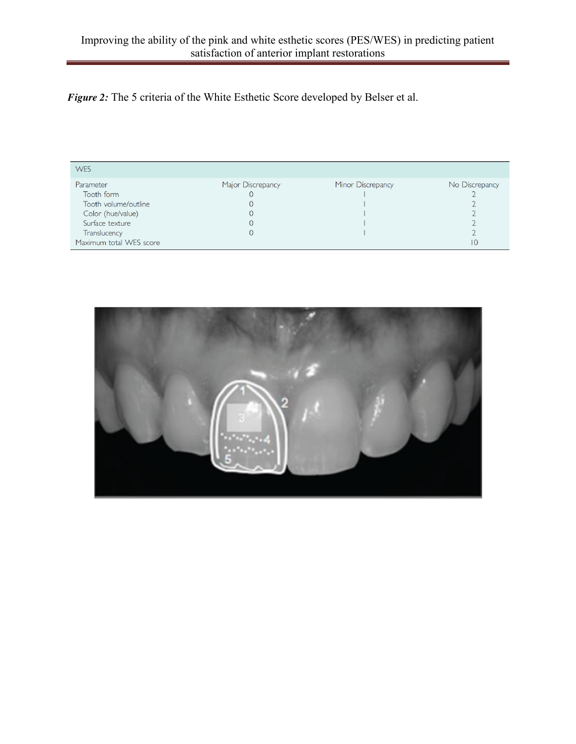*Figure 2:* The 5 criteria of the White Esthetic Score developed by Belser et al.

| <b>WES</b>              |                   |                   |                |
|-------------------------|-------------------|-------------------|----------------|
| Parameter               | Major Discrepancy | Minor Discrepancy | No Discrepancy |
| Tooth form              |                   |                   |                |
| Tooth volume/outline    |                   |                   |                |
| Color (hue/value)       |                   |                   |                |
| Surface texture         |                   |                   |                |
| Translucency            |                   |                   |                |
| Maximum total WES score |                   |                   | 10             |
|                         |                   |                   |                |

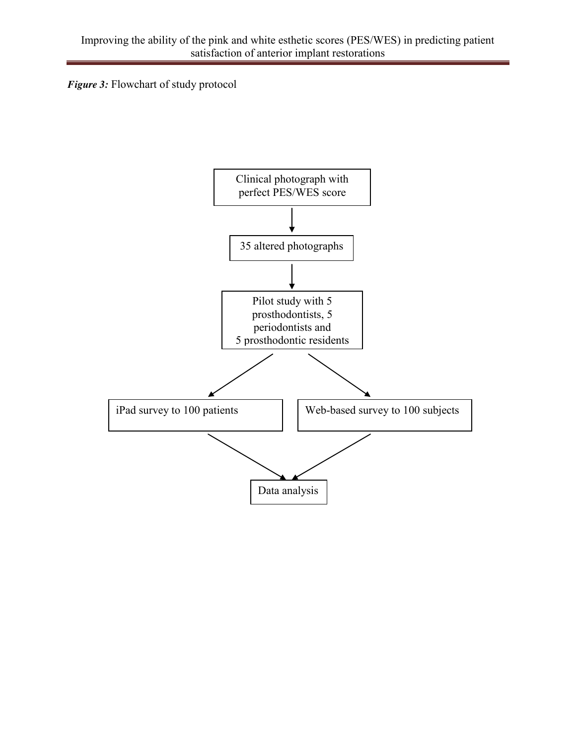*Figure 3:* Flowchart of study protocol

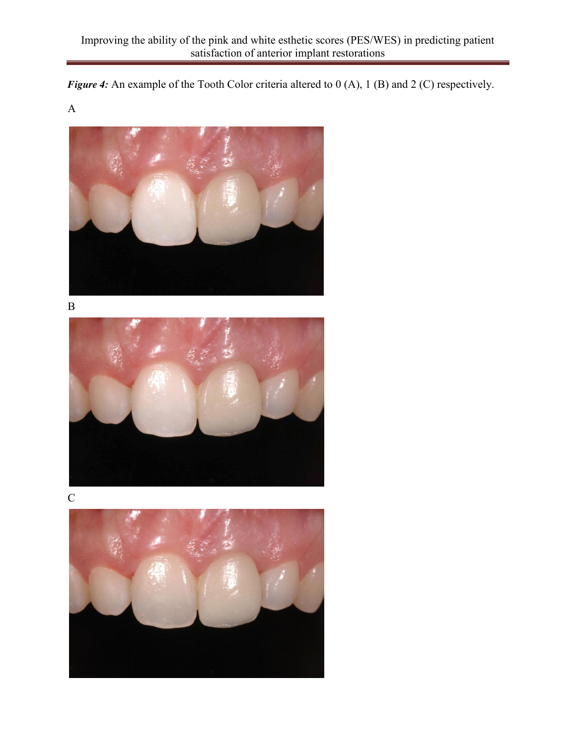*Figure 4:* An example of the Tooth Color criteria altered to 0 (A), 1 (B) and 2 (C) respectively.

A



B





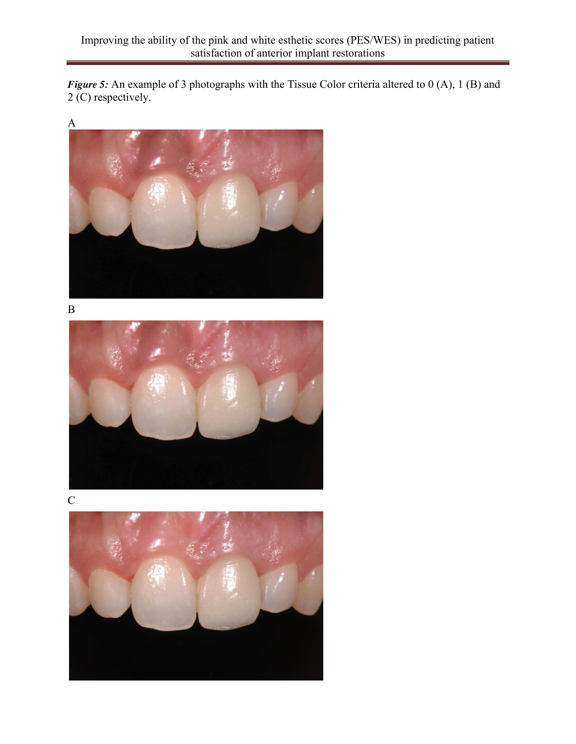*Figure 5:* An example of 3 photographs with the Tissue Color criteria altered to 0 (A), 1 (B) and 2 (C) respectively.



B





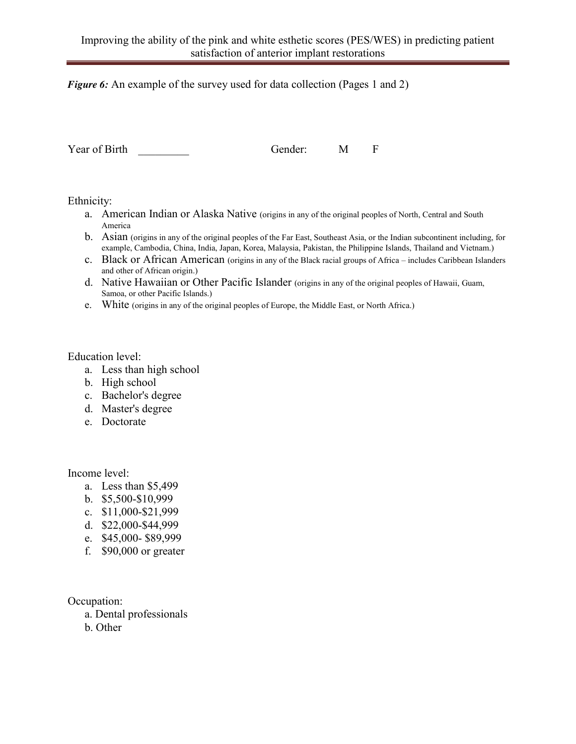### *Figure 6:* An example of the survey used for data collection (Pages 1 and 2)

Year of Birth Gender: M F

Ethnicity:

- a. American Indian or Alaska Native (origins in any of the original peoples of North, Central and South America
- b. Asian (origins in any of the original peoples of the Far East, Southeast Asia, or the Indian subcontinent including, for example, Cambodia, China, India, Japan, Korea, Malaysia, Pakistan, the Philippine Islands, Thailand and Vietnam.)
- c. Black or African American (origins in any of the Black racial groups of Africa includes Caribbean Islanders and other of African origin.)
- d. Native Hawaiian or Other Pacific Islander (origins in any of the original peoples of Hawaii, Guam, Samoa, or other Pacific Islands.)
- e. White (origins in any of the original peoples of Europe, the Middle East, or North Africa.)

Education level:

- a. Less than high school
- b. High school
- c. Bachelor's degree
- d. Master's degree
- e. Doctorate

Income level:

- a. Less than \$5,499
- b. \$5,500-\$10,999
- c. \$11,000-\$21,999
- d. \$22,000-\$44,999
- e. \$45,000- \$89,999
- f. \$90,000 or greater

Occupation:

- a. Dental professionals
- b. Other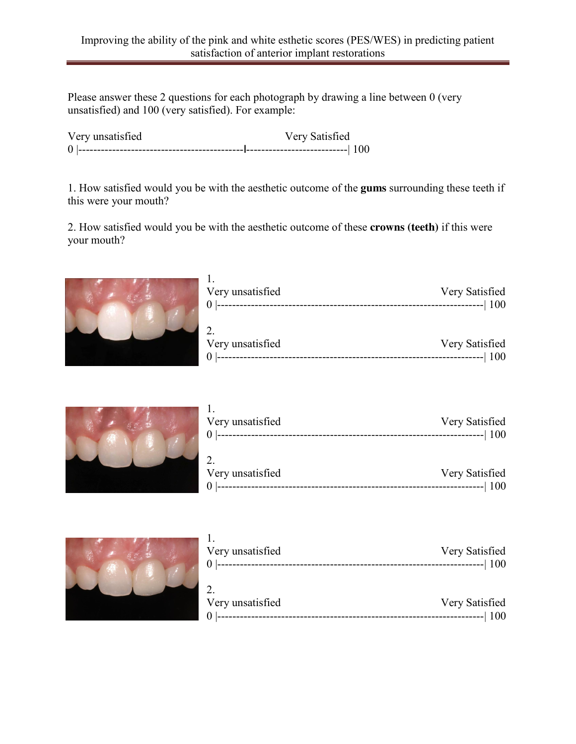Please answer these 2 questions for each photograph by drawing a line between 0 (very unsatisfied) and 100 (very satisfied). For example:

Very unsatisfied Very Satisfied 0 |--------------------------------------------**|**---------------------------| 100

1. How satisfied would you be with the aesthetic outcome of the **gums** surrounding these teeth if this were your mouth?

2. How satisfied would you be with the aesthetic outcome of these **crowns (teeth)** if this were your mouth?



| Very unsatisfied | Very Satisfied<br>$\left  \frac{1}{100} \right $ |
|------------------|--------------------------------------------------|
| Very unsatisfied | Very Satisfied                                   |

0 |-----------------------------------------------------------------------| 100



| Very unsatisfied<br>$\theta$ | Very Satisfied<br>$------ 100$ |
|------------------------------|--------------------------------|
| Very unsatisfied             | Very Satisfied                 |
|                              | <b>100</b>                     |



| Very unsatisfied<br>$\Omega$ | Very Satisfied<br>----------------  100 |
|------------------------------|-----------------------------------------|
|                              |                                         |
| Very unsatisfied             | Very Satisfied                          |
|                              | 100                                     |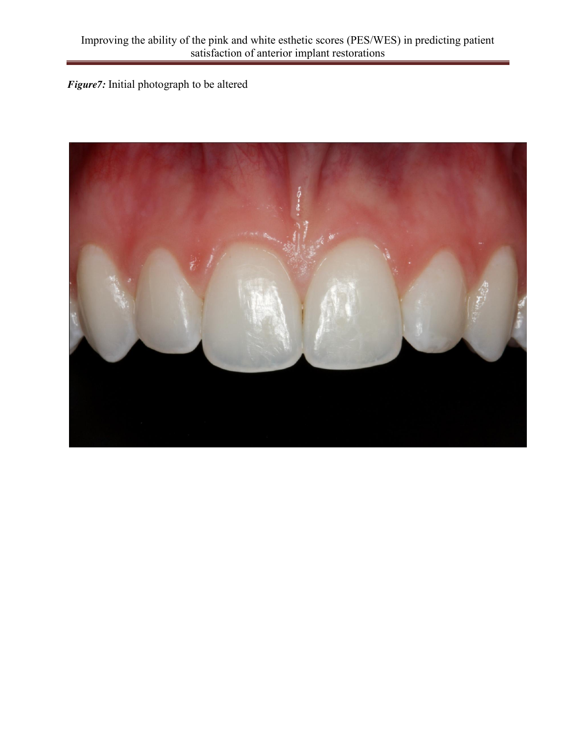*Figure7:* Initial photograph to be altered

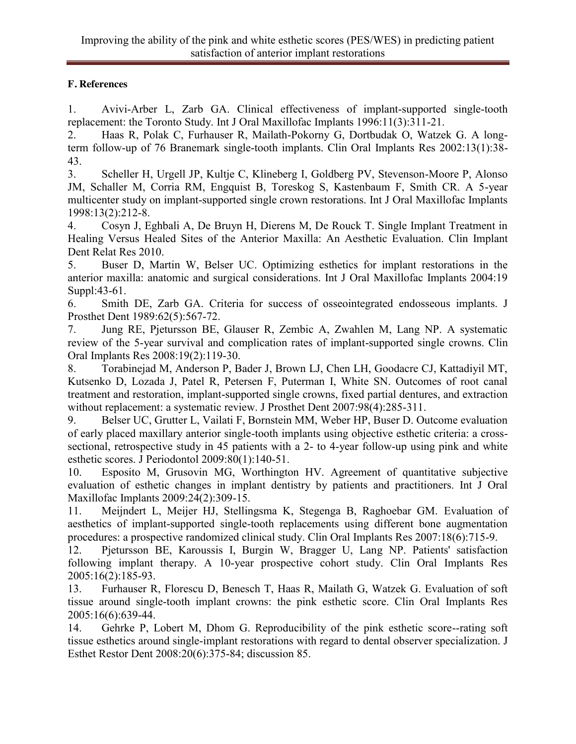## **F. References**

1. Avivi-Arber L, Zarb GA. Clinical effectiveness of implant-supported single-tooth replacement: the Toronto Study. Int J Oral Maxillofac Implants 1996:11(3):311-21.

2. Haas R, Polak C, Furhauser R, Mailath-Pokorny G, Dortbudak O, Watzek G. A longterm follow-up of 76 Branemark single-tooth implants. Clin Oral Implants Res 2002:13(1):38- 43.

3. Scheller H, Urgell JP, Kultje C, Klineberg I, Goldberg PV, Stevenson-Moore P, Alonso JM, Schaller M, Corria RM, Engquist B, Toreskog S, Kastenbaum F, Smith CR. A 5-year multicenter study on implant-supported single crown restorations. Int J Oral Maxillofac Implants 1998:13(2):212-8.

4. Cosyn J, Eghbali A, De Bruyn H, Dierens M, De Rouck T. Single Implant Treatment in Healing Versus Healed Sites of the Anterior Maxilla: An Aesthetic Evaluation. Clin Implant Dent Relat Res 2010.

5. Buser D, Martin W, Belser UC. Optimizing esthetics for implant restorations in the anterior maxilla: anatomic and surgical considerations. Int J Oral Maxillofac Implants 2004:19 Suppl:43-61.

6. Smith DE, Zarb GA. Criteria for success of osseointegrated endosseous implants. J Prosthet Dent 1989:62(5):567-72.

7. Jung RE, Pjetursson BE, Glauser R, Zembic A, Zwahlen M, Lang NP. A systematic review of the 5-year survival and complication rates of implant-supported single crowns. Clin Oral Implants Res 2008:19(2):119-30.

8. Torabinejad M, Anderson P, Bader J, Brown LJ, Chen LH, Goodacre CJ, Kattadiyil MT, Kutsenko D, Lozada J, Patel R, Petersen F, Puterman I, White SN. Outcomes of root canal treatment and restoration, implant-supported single crowns, fixed partial dentures, and extraction without replacement: a systematic review. J Prosthet Dent 2007:98(4):285-311.

9. Belser UC, Grutter L, Vailati F, Bornstein MM, Weber HP, Buser D. Outcome evaluation of early placed maxillary anterior single-tooth implants using objective esthetic criteria: a crosssectional, retrospective study in 45 patients with a 2- to 4-year follow-up using pink and white esthetic scores. J Periodontol 2009:80(1):140-51.

10. Esposito M, Grusovin MG, Worthington HV. Agreement of quantitative subjective evaluation of esthetic changes in implant dentistry by patients and practitioners. Int J Oral Maxillofac Implants 2009:24(2):309-15.

11. Meijndert L, Meijer HJ, Stellingsma K, Stegenga B, Raghoebar GM. Evaluation of aesthetics of implant-supported single-tooth replacements using different bone augmentation procedures: a prospective randomized clinical study. Clin Oral Implants Res 2007:18(6):715-9.

12. Pjetursson BE, Karoussis I, Burgin W, Bragger U, Lang NP. Patients' satisfaction following implant therapy. A 10-year prospective cohort study. Clin Oral Implants Res 2005:16(2):185-93.

13. Furhauser R, Florescu D, Benesch T, Haas R, Mailath G, Watzek G. Evaluation of soft tissue around single-tooth implant crowns: the pink esthetic score. Clin Oral Implants Res 2005:16(6):639-44.

14. Gehrke P, Lobert M, Dhom G. Reproducibility of the pink esthetic score--rating soft tissue esthetics around single-implant restorations with regard to dental observer specialization. J Esthet Restor Dent 2008:20(6):375-84; discussion 85.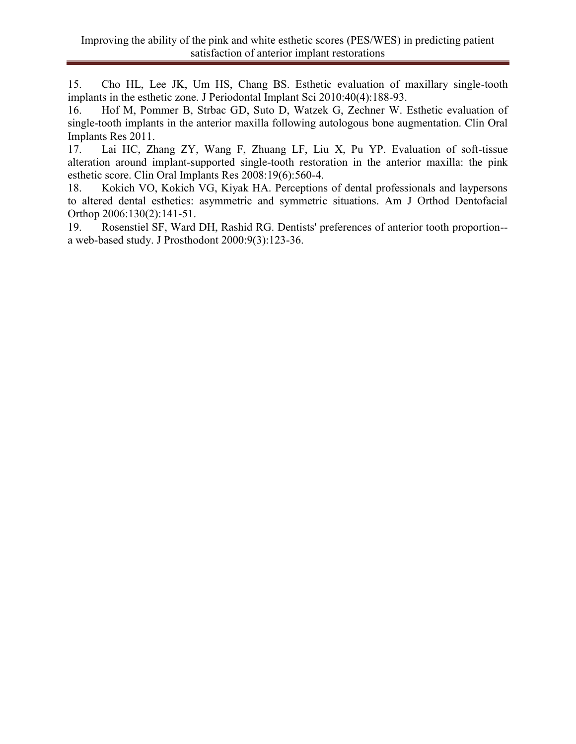15. Cho HL, Lee JK, Um HS, Chang BS. Esthetic evaluation of maxillary single-tooth implants in the esthetic zone. J Periodontal Implant Sci 2010:40(4):188-93.

16. Hof M, Pommer B, Strbac GD, Suto D, Watzek G, Zechner W. Esthetic evaluation of single-tooth implants in the anterior maxilla following autologous bone augmentation. Clin Oral Implants Res 2011.

17. Lai HC, Zhang ZY, Wang F, Zhuang LF, Liu X, Pu YP. Evaluation of soft-tissue alteration around implant-supported single-tooth restoration in the anterior maxilla: the pink esthetic score. Clin Oral Implants Res 2008:19(6):560-4.

18. Kokich VO, Kokich VG, Kiyak HA. Perceptions of dental professionals and laypersons to altered dental esthetics: asymmetric and symmetric situations. Am J Orthod Dentofacial Orthop 2006:130(2):141-51.

19. Rosenstiel SF, Ward DH, Rashid RG. Dentists' preferences of anterior tooth proportion- a web-based study. J Prosthodont 2000:9(3):123-36.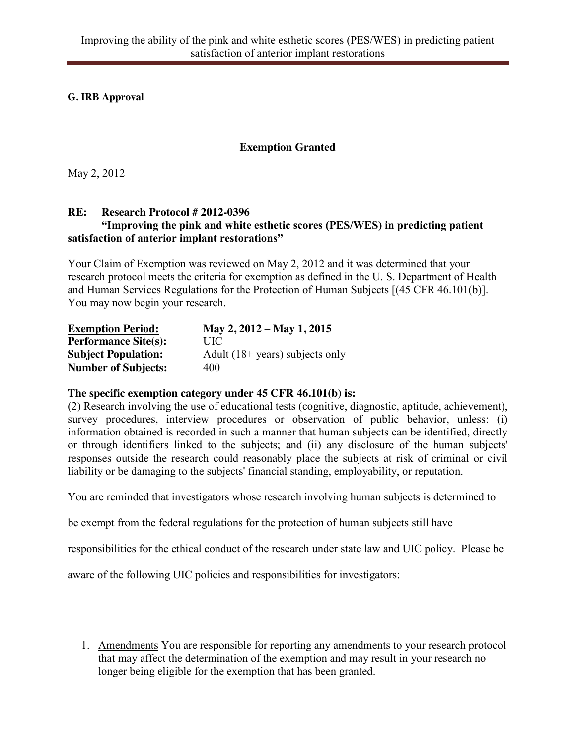**G. IRB Approval**

# **Exemption Granted**

May 2, 2012

## **RE: Research Protocol # 2012-0396 "Improving the pink and white esthetic scores (PES/WES) in predicting patient satisfaction of anterior implant restorations"**

Your Claim of Exemption was reviewed on May 2, 2012 and it was determined that your research protocol meets the criteria for exemption as defined in the U. S. Department of Health and Human Services Regulations for the Protection of Human Subjects [(45 CFR 46.101(b)]. You may now begin your research.

| <b>Exemption Period:</b>    | May 2, $2012 - May 1, 2015$               |
|-----------------------------|-------------------------------------------|
| <b>Performance Site(s):</b> | UIC                                       |
| <b>Subject Population:</b>  | Adult $(18 + \text{years})$ subjects only |
| <b>Number of Subjects:</b>  | 400                                       |

## **The specific exemption category under 45 CFR 46.101(b) is:**

(2) Research involving the use of educational tests (cognitive, diagnostic, aptitude, achievement), survey procedures, interview procedures or observation of public behavior, unless: (i) information obtained is recorded in such a manner that human subjects can be identified, directly or through identifiers linked to the subjects; and (ii) any disclosure of the human subjects' responses outside the research could reasonably place the subjects at risk of criminal or civil liability or be damaging to the subjects' financial standing, employability, or reputation.

You are reminded that investigators whose research involving human subjects is determined to

be exempt from the federal regulations for the protection of human subjects still have

responsibilities for the ethical conduct of the research under state law and UIC policy. Please be

aware of the following UIC policies and responsibilities for investigators:

1. Amendments You are responsible for reporting any amendments to your research protocol that may affect the determination of the exemption and may result in your research no longer being eligible for the exemption that has been granted.